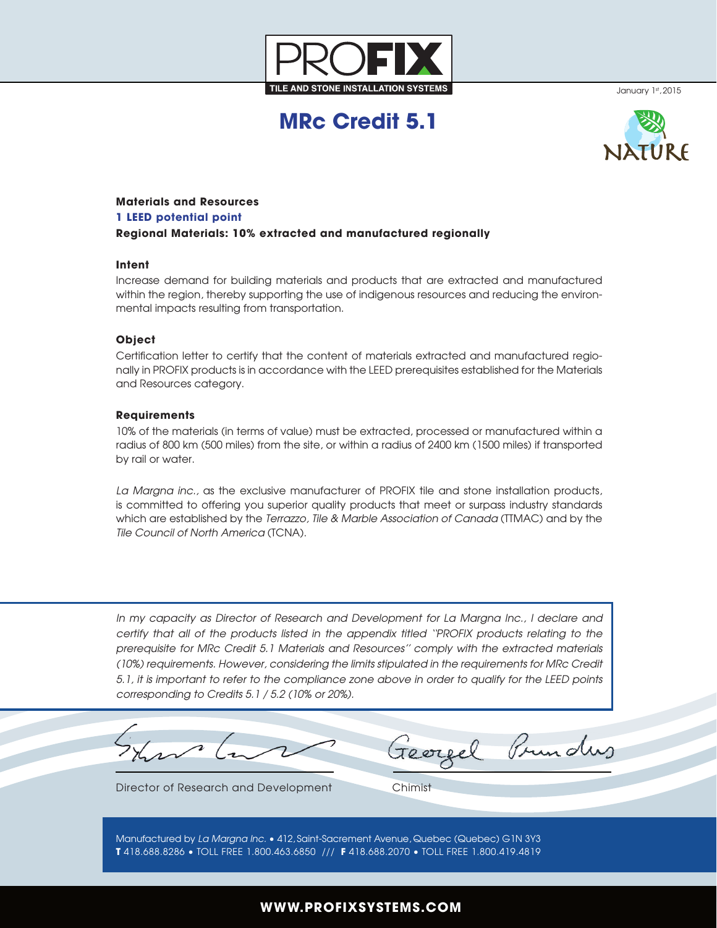

January 1st, 2015

# **MRc Credit 5.1**



## **Materials and Resources**

#### **1 LEED potential point**

**Regional Materials: 10% extracted and manufactured regionally**

## **Intent**

Increase demand for building materials and products that are extracted and manufactured within the region, thereby supporting the use of indigenous resources and reducing the environmental impacts resulting from transportation.

## **Object**

Certification letter to certify that the content of materials extracted and manufactured regionally in PROFIX products is in accordance with the LEED prerequisites established for the Materials and Resources category.

## **Requirements**

10% of the materials (in terms of value) must be extracted, processed or manufactured within a radius of 800 km (500 miles) from the site, or within a radius of 2400 km (1500 miles) if transported by rail or water.

*La Margna inc.,* as the exclusive manufacturer of PROFIX tile and stone installation products, is committed to offering you superior quality products that meet or surpass industry standards which are established by the *Terrazzo, Tile & Marble Association of Canada* (TTMAC) and by the *Tile Council of North America* (TCNA).

In my capacity as Director of Research and Development for La Margna Inc., I declare and *certify that all of the products listed in the appendix titled ''PROFIX products relating to the prerequisite for MRc Credit 5.1 Materials and Resources'' comply with the extracted materials (10%) requirements. However, considering the limits stipulated in the requirements for MRc Credit 5.1, it is important to refer to the compliance zone above in order to qualify for the LEED points corresponding to Credits 5.1 / 5.2 (10% or 20%).*

Director of Research and Development Chimist

Prunding

Manufactured by *La Margna Inc.* • 412, Saint-Sacrement Avenue, Quebec (Quebec) G1N 3Y3 **T** 418.688.8286 • TOLL FREE 1.800.463.6850 /// **F** 418.688.2070 • TOLL FREE 1.800.419.4819

## **WWW.PROFIXSYSTEMS.COM**